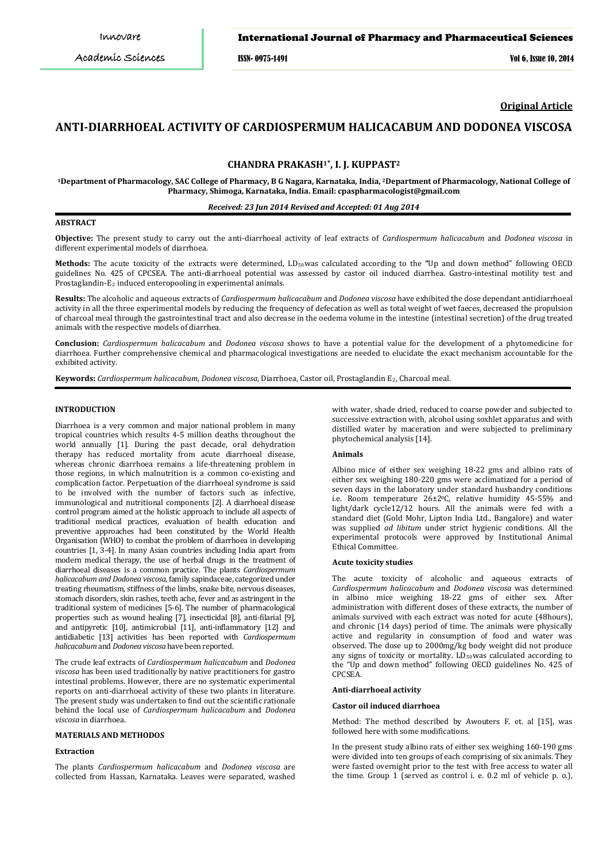# International Journal of Pharmacy and Pharmaceutical Sciences

ISSN- 0975-1491 Vol 6, Issue 10, 2014

**Original Article**

# **ANTI-DIARRHOEAL ACTIVITY OF CARDIOSPERMUM HALICACABUM AND DODONEA VISCOSA**

# **CHANDRA PRAKASH1\* , I. J. KUPPAST<sup>2</sup>**

**<sup>1</sup>Department of Pharmacology, SAC College of Pharmacy, B G Nagara, Karnataka, India, <sup>2</sup>Department of Pharmacology, National College of Pharmacy, Shimoga, Karnataka, India. Email: cpaspharmacologist@gmail.com**

# *Received: 23 Jun 2014 Revised and Accepted: 01 Aug 2014*

# **ABSTRACT**

**Objective:** The present study to carry out the anti-diarrhoeal activity of leaf extracts of *Cardiospermum halicacabum* and *Dodonea viscosa* in different experimental models of diarrhoea.

Methods: The acute toxicity of the extracts were determined, LD<sub>50</sub>was calculated according to the "Up and down method" following OECD guidelines No. 425 of CPCSEA. The anti-diarrhoeal potential was assessed by castor oil induced diarrhea. Gastro-intestinal motility test and Prostagiandin-E<sub>2</sub> induced enteropooling in experimental animals.

**Results:** The alcoholic and aqueous extracts of *Cardiospermum halicacabum* and *Dodonea viscosa* have exhibited the dose dependant antidiarrhoeal activity in all the three experimental models by reducing the frequency of defecation as well as total weight of wet faeces, decreased the propulsion of charcoal meal through the gastrointestinal tract and also decrease in the oedema volume in the intestine (intestinal secretion) of the drug treated animals with the respective models of diarrhea.

**Conclusion:** *Cardiospermum halicacabum* and *Dodonea viscosa* shows to have a potential value for the development of a phytomedicine for diarrhoea. Further comprehensive chemical and pharmacological investigations are needed to elucidate the exact mechanism accountable for the exhibited activity.

**Keywords:** *Cardiospermum halicacabum, Dodonea viscosa*, Diarrhoea, Castor oil, Prostaglandin E2, Charcoal meal.

# **INTRODUCTION**

Diarrhoea is a very common and major national problem in many tropical countries which results 4-5 million deaths throughout the world annually [1]. During the past decade, oral dehydration therapy has reduced mortality from acute diarrhoeal disease, whereas chronic diarrhoea remains a life-threatening problem in those regions, in which malnutrition is a common co-existing and complication factor. Perpetuation of the diarrhoeal syndrome is said to be involved with the number of factors such as infective, immunological and nutritional components [2]. A diarrhoeal disease control program aimed at the holistic approach to include all aspects of traditional medical practices, evaluation of health education and preventive approaches had been constituted by the World Health Organisation (WHO) to combat the problem of diarrhoea in developing countries [1, 3-4]. In many Asian countries including India apart from modern medical therapy, the use of herbal drugs in the treatment of diarrhoeal diseases is a common practice. The plants *Cardiospermum halicacabum and Dodonea viscosa,* family sapindaceae, categorized under treating rheumatism, stiffness of the limbs, snake bite, nervous diseases, stomach disorders, skin rashes, teeth ache, fever and as astringent in the traditional system of medicines [5-6]. The number of pharmacological properties such as wound healing [7], insecticidal [8], anti-filarial [9], and antipyretic [10], antimicrobial [11], anti-inflammatory [12] and antidiabetic [13] activities has been reported with *Cardiospermum halicacabum* and *Dodonea viscosa* have been reported.

The crude leaf extracts of *Cardiospermum halicacabum* and *Dodonea viscosa* has been used traditionally by native practitioners for gastro intestinal problems. However, there are no systematic experimental reports on anti-diarrhoeal activity of these two plants in literature. The present study was undertaken to find out the scientific rationale behind the local use of *Cardiospermum halicacabum* and *Dodonea viscosa* in diarrhoea.

### **MATERIALS AND METHODOS**

#### **Extraction**

The plants *Cardiospermum halicacabum* and *Dodonea viscosa* are collected from Hassan, Karnataka. Leaves were separated, washed with water, shade dried, reduced to coarse powder and subjected to successive extraction with, alcohol using soxhlet apparatus and with distilled water by maceration and were subjected to preliminary phytochemical analysis [14].

### **Animals**

Albino mice of either sex weighing 18-22 gms and albino rats of either sex weighing 180-220 gms were acclimatized for a period of seven days in the laboratory under standard husbandry conditions i.e. Room temperature 26±20 C, relative humidity 45-55% and light/dark cycle12/12 hours. All the animals were fed with a standard diet (Gold Mohr, Lipton India Ltd., Bangalore) and water was supplied *ad libitum* under strict hygienic conditions. All the experimental protocols were approved by Institutional Animal Ethical Committee.

#### **Acute toxicity studies**

The acute toxicity of alcoholic and aqueous extracts of *Cardiospermum halicacabum* and *Dodonea viscosa* was determined in albino mice weighing 18-22 gms of either sex. After administration with different doses of these extracts, the number of animals survived with each extract was noted for acute (48hours), and chronic (14 days) period of time. The animals were physically active and regularity in consumption of food and water was observed. The dose up to 2000mg/kg body weight did not produce any signs of toxicity or mortality. LD<sub>50</sub> was calculated according to the "Up and down method" following OECD guidelines No. 425 of CPCSEA.

#### **Anti-diarrhoeal activity**

#### **Castor oil induced diarrhoea**

Method: The method described by Awouters F. et. al [15], was followed here with some modifications.

In the present study albino rats of either sex weighing 160-190 gms were divided into ten groups of each comprising of six animals. They were fasted overnight prior to the test with free access to water all the time. Group 1 (served as control i. e. 0.2 ml of vehicle p. o.),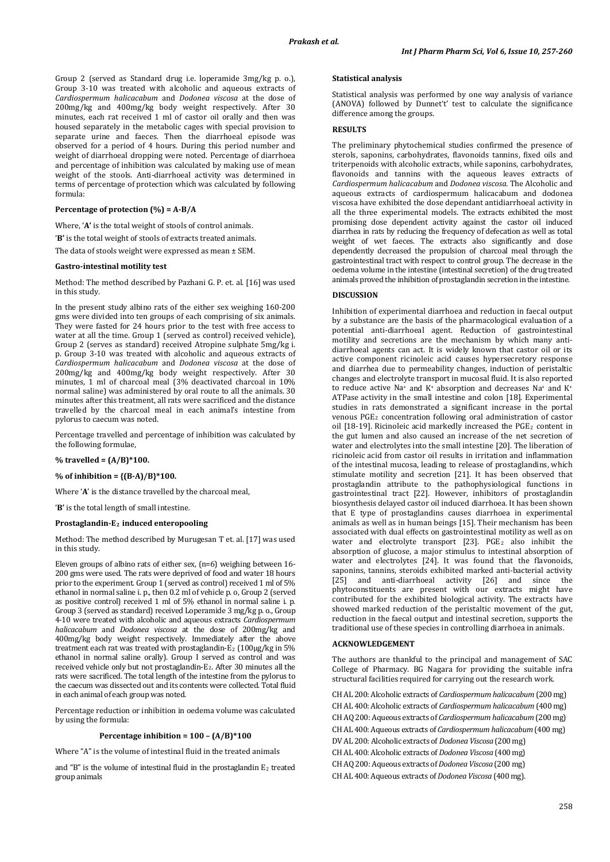Group 2 (served as Standard drug i.e. loperamide 3mg/kg p. o.), Group 3-10 was treated with alcoholic and aqueous extracts of *Cardiospermum halicacabum* and *Dodonea viscosa* at the dose of 200mg/kg and 400mg/kg body weight respectively. After 30 minutes, each rat received 1 ml of castor oil orally and then was housed separately in the metabolic cages with special provision to separate urine and faeces. Then the diarrhoeal episode was observed for a period of 4 hours. During this period number and weight of diarrhoeal dropping were noted. Percentage of diarrhoea and percentage of inhibition was calculated by making use of mean weight of the stools. Anti-diarrhoeal activity was determined in terms of percentage of protection which was calculated by following formula:

# **Percentage of protection (%) = A-B/A**

Where, 'A' is the total weight of stools of control animals.

'**B'** is the total weight of stools of extracts treated animals.

The data of stools weight were expressed as mean ± SEM.

## **Gastro-intestinal motility test**

Method: The method described by Pazhani G. P. et. al. [16] was used in this study.

In the present study albino rats of the either sex weighing 160-200 gms were divided into ten groups of each comprising of six animals. They were fasted for 24 hours prior to the test with free access to water at all the time. Group 1 (served as control) received vehicle), Group 2 (serves as standard) received Atropine sulphate 5mg/kg i. p. Group 3-10 was treated with alcoholic and aqueous extracts of *Cardiospermum halicacabum* and *Dodonea viscosa* at the dose of 200mg/kg and 400mg/kg body weight respectively. After 30 minutes, 1 ml of charcoal meal (3% deactivated charcoal in 10% normal saline) was administered by oral route to all the animals. 30 minutes after this treatment, all rats were sacrificed and the distance travelled by the charcoal meal in each animal's intestine from pylorus to caecum was noted.

Percentage travelled and percentage of inhibition was calculated by the following formulae,

### **% travelled = (A/B)\*100.**

### **% of inhibition = {(B-A)/B}\*100.**

Where '**A**' is the distance travelled by the charcoal meal,

'**B'** is the total length of small intestine.

# **Prostaglandin-E2 induced enteropooling**

Method: The method described by Murugesan T et. al. [17] was used in this study.

Eleven groups of albino rats of either sex, (n=6) weighing between 16- 200 gms were used. The rats were deprived of food and water 18 hours prior to the experiment. Group 1 (served as control) received 1 ml of 5% ethanol in normal saline i. p., then 0.2 ml of vehicle p. o, Group 2 (served as positive control) received 1 ml of 5% ethanol in normal saline i. p. Group 3 (served as standard) received Loperamide 3 mg/kg p. o., Group 4-10 were treated with alcoholic and aqueous extracts *Cardiospermum halicacabum* and *Dodonea viscosa* at the dose of 200mg/kg and 400mg/kg body weight respectively. Immediately after the above treatment each rat was treated with prostaglandin-E2 (100µg/kg in 5% ethanol in normal saline orally). Group I served as control and was received vehicle only but not prostaglandin-E2 . After 30 minutes all the rats were sacrificed. The total length of the intestine from the pylorus to the caecum was dissected out and its contents were collected. Total fluid in each animal of each group was noted.

Percentage reduction or inhibition in oedema volume was calculated by using the formula:

# **Percentage inhibition = 100 – (A/B)\*100**

Where "A" is the volume of intestinal fluid in the treated animals

and "B" is the volume of intestinal fluid in the prostaglandin E 2 treated group animals

#### **Statistical analysis**

Statistical analysis was performed by one way analysis of variance (ANOVA) followed by Dunnet't' test to calculate the significance difference among the groups.

# **RESULTS**

The preliminary phytochemical studies confirmed the presence of sterols, saponins, carbohydrates, flavonoids tannins, fixed oils and triterpenoids with alcoholic extracts, while saponins, carbohydrates, flavonoids and tannins with the aqueous leaves extracts of *Cardiospermum halicacabum* and *Dodonea viscosa*. The Alcoholic and aqueous extracts of cardiospermum halicacabum and dodonea viscosa have exhibited the dose dependant antidiarrhoeal activity in all the three experimental models. The extracts exhibited the most promising dose dependent activity against the castor oil induced diarrhea in rats by reducing the frequency of defecation as well as total weight of wet faeces. The extracts also significantly and dose dependently decreased the propulsion of charcoal meal through the gastrointestinal tract with respect to control group. The decrease in the oedema volume in the intestine (intestinal secretion) of the drug treated animals proved the inhibition of prostaglandin secretion in the intestine.

### **DISCUSSION**

Inhibition of experimental diarrhoea and reduction in faecal output by a substance are the basis of the pharmacological evaluation of a potential anti-diarrhoeal agent. Reduction of gastrointestinal motility and secretions are the mechanism by which many antidiarrhoeal agents can act. It is widely known that castor oil or its active component ricinoleic acid causes hypersecretory response and diarrhea due to permeability changes, induction of peristaltic changes and electrolyte transport in mucosal fluid. It is also reported to reduce active Na<sup>+</sup> and K<sup>+</sup> absorption and decreases Na<sup>+</sup> and K<sup>+</sup> ATPase activity in the small intestine and colon [18]. Experimental studies in rats demonstrated a significant increase in the portal venous PGE2 concentration following oral administration of castor oil [18-19]. Ricinoleic acid markedly increased the PGE<sub>2</sub> content in the gut lumen and also caused an increase of the net secretion of water and electrolytes into the small intestine [20]. The liberation of ricinoleic acid from castor oil results in irritation and inflammation of the intestinal mucosa, leading to release of prostaglandins, which stimulate motility and secretion [21]. It has been observed that prostaglandin attribute to the pathophysiological functions in gastrointestinal tract [22]. However, inhibitors of prostaglandin biosynthesis delayed castor oil induced diarrhoea. It has been shown that E type of prostaglandins causes diarrhoea in experimental animals as well as in human beings [15]. Their mechanism has been associated with dual effects on gastrointestinal motility as well as on water and electrolyte transport [23]. PGE2 also inhibit the absorption of glucose, a major stimulus to intestinal absorption of water and electrolytes [24]. It was found that the flavonoids, saponins, tannins, steroids exhibited marked anti-bacterial activity<br>[25] and anti-diarrhoeal activity [26] and since the  $[25]$  and anti-diarrhoeal activity  $[26]$  and since phytoconstituents are present with our extracts might have contributed for the exhibited biological activity. The extracts have showed marked reduction of the peristaltic movement of the gut, reduction in the faecal output and intestinal secretion, supports the traditional use of these species in controlling diarrhoea in animals.

# **ACKNOWLEDGEMENT**

The authors are thankful to the principal and management of SAC College of Pharmacy. BG Nagara for providing the suitable infra structural facilities required for carrying out the research work.

CH AL 200: Alcoholic extracts of *Cardiospermum halicacabum* (200 mg) CH AL 400: Alcoholic extracts of *Cardiospermum halicacabum* (400 mg) CH AQ 200: Aqueous extracts of *Cardiospermum halicacabum* (200 mg) CH AL 400: Aqueous extracts of *Cardiospermum halicacabum* (400 mg) DV AL 200: Alcoholic extracts of *Dodonea Viscosa* (200 mg) CH AL 400: Alcoholic extracts of *Dodonea Viscosa* (400 mg) CH AQ 200: Aqueous extracts of *Dodonea Viscosa* (200 mg)

CH AL 400: Aqueous extracts of *Dodonea Viscosa* (400 mg).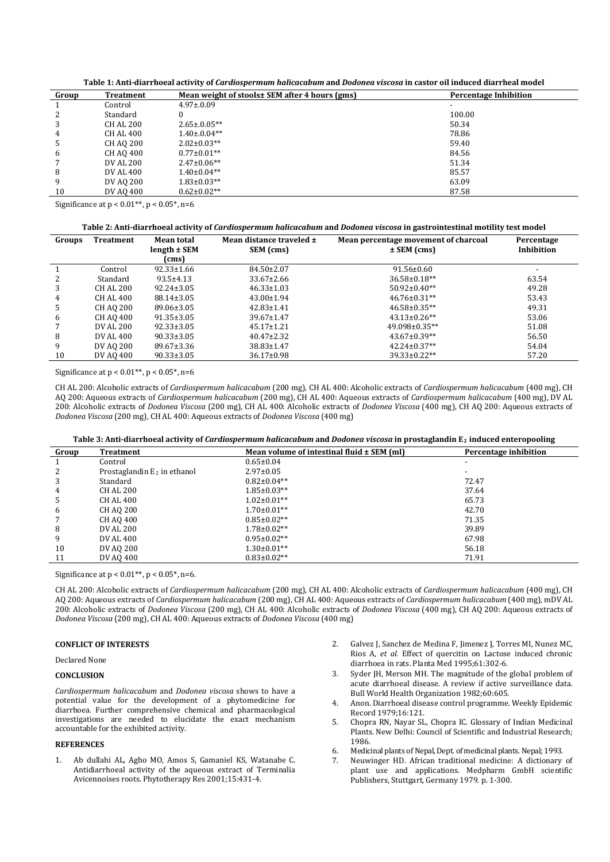**Table 1: Anti-diarrhoeal activity of** *Cardiospermum halicacabum* **and** *Dodonea viscosa* **in castor oil induced diarrheal model**

| Group | Treatment       | Mean weight of stools± SEM after 4 hours (gms) | <b>Percentage Inhibition</b> |
|-------|-----------------|------------------------------------------------|------------------------------|
|       | Control         | $4.97 \pm 0.09$                                |                              |
| 2     | Standard        |                                                | 100.00                       |
| 3     | <b>CHAL 200</b> | $2.65 \pm 0.05**$                              | 50.34                        |
| 4     | <b>CHAL 400</b> | $1.40 \pm 0.04**$                              | 78.86                        |
| 5     | <b>CHAO 200</b> | $2.02 \pm 0.03**$                              | 59.40                        |
| 6     | CH AO 400       | $0.77 \pm 0.01**$                              | 84.56                        |
|       | DV AL 200       | $2.47 \pm 0.06**$                              | 51.34                        |
| 8     | DV AL 400       | $1.40\pm0.04**$                                | 85.57                        |
| 9     | DV AO 200       | $1.83 \pm 0.03**$                              | 63.09                        |
| 10    | DV AO 400       | $0.62 \pm 0.02**$                              | 87.58                        |

Significance at  $p < 0.01**$ ,  $p < 0.05*$ , n=6

#### **Table 2: Anti-diarrhoeal activity of** *Cardiospermum halicacabum* **and** *Dodonea viscosa* **in gastrointestinal motility test model**

| Groups | <b>Treatment</b> | <b>Mean total</b><br>$length \pm SEM$<br>(cms) | Mean distance traveled ±<br>SEM (cms) | Mean percentage movement of charcoal<br>$\pm$ SEM (cms) | Percentage<br>Inhibition |
|--------|------------------|------------------------------------------------|---------------------------------------|---------------------------------------------------------|--------------------------|
|        | Control          | $92.33 \pm 1.66$                               | 84.50±2.07                            | $91.56 \pm 0.60$                                        |                          |
| 2      | Standard         | $93.5 \pm 4.13$                                | $33.67 \pm 2.66$                      | $36.58 \pm 0.18**$                                      | 63.54                    |
| 3      | CH AL 200        | $92.24 \pm 3.05$                               | $46.33 \pm 1.03$                      | $50.92 \pm 0.40**$                                      | 49.28                    |
| 4      | CH AL 400        | $88.14 \pm 3.05$                               | $43.00 \pm 1.94$                      | $46.76 \pm 0.31**$                                      | 53.43                    |
| 5      | <b>CH AO 200</b> | 89.06±3.05                                     | $42.83 \pm 1.41$                      | $46.58 \pm 0.35**$                                      | 49.31                    |
| 6      | <b>CH AO 400</b> | $91.35 \pm 3.05$                               | $39.67 \pm 1.47$                      | $43.13 \pm 0.26$ **                                     | 53.06                    |
|        | DV AL 200        | $92.33 \pm 3.05$                               | $45.17 \pm 1.21$                      | 49.098±0.35**                                           | 51.08                    |
| 8      | DV AL 400        | $90.33 \pm 3.05$                               | $40.47 \pm 2.32$                      | $43.67 \pm 0.39**$                                      | 56.50                    |
| 9      | DV AO 200        | $89.67 \pm 3.36$                               | 38.83±1.47                            | $42.24 \pm 0.37**$                                      | 54.04                    |
| 10     | DV AO 400        | $90.33 \pm 3.05$                               | 36.17±0.98                            | 39.33±0.22**                                            | 57.20                    |

Significance at  $p < 0.01**$ ,  $p < 0.05*$ , n=6

CH AL 200: Alcoholic extracts of *Cardiospermum halicacabum* (200 mg), CH AL 400: Alcoholic extracts of *Cardiospermum halicacabum* (400 mg), CH AQ 200: Aqueous extracts of *Cardiospermum halicacabum* (200 mg), CH AL 400: Aqueous extracts of *Cardiospermum halicacabum* (400 mg), DV AL 200: Alcoholic extracts of *Dodonea Viscosa* (200 mg), CH AL 400: Alcoholic extracts of *Dodonea Viscosa* (400 mg), CH AQ 200: Aqueous extracts of *Dodonea Viscosa* (200 mg), CH AL 400: Aqueous extracts of *Dodonea Viscosa* (400 mg)

| Table 3: Anti-diarrhoeal activity of Cardiospermum halicacabum and Dodonea viscosa in prostaglandin E <sub>2</sub> induced enteropooling |  |
|------------------------------------------------------------------------------------------------------------------------------------------|--|
|                                                                                                                                          |  |

| Group | Treatment                      | Mean volume of intestinal fluid $\pm$ SEM (ml) | Percentage inhibition |  |  |  |
|-------|--------------------------------|------------------------------------------------|-----------------------|--|--|--|
|       | Control                        | $0.65 \pm 0.04$                                |                       |  |  |  |
| 2     | Prostaglandin $E_2$ in ethanol | $2.97 \pm 0.05$                                |                       |  |  |  |
| 3     | Standard                       | $0.82 \pm 0.04**$                              | 72.47                 |  |  |  |
| 4     | <b>CHAL 200</b>                | $1.85 \pm 0.03**$                              | 37.64                 |  |  |  |
| 5     | CH AL 400                      | $1.02 \pm 0.01$ **                             | 65.73                 |  |  |  |
| 6     | CH AO 200                      | $1.70 \pm 0.01$ **                             | 42.70                 |  |  |  |
|       | CH AO 400                      | $0.85 \pm 0.02**$                              | 71.35                 |  |  |  |
| 8     | DV AL 200                      | $1.78 \pm 0.02**$                              | 39.89                 |  |  |  |
| 9     | DV AL 400                      | $0.95 \pm 0.02**$                              | 67.98                 |  |  |  |
| 10    | DV AO 200                      | $1.30\pm0.01**$                                | 56.18                 |  |  |  |
| 11    | DV AO 400                      | $0.83 \pm 0.02**$                              | 71.91                 |  |  |  |

Significance at  $p < 0.01**$ ,  $p < 0.05*$ , n=6.

CH AL 200: Alcoholic extracts of *Cardiospermum halicacabum* (200 mg), CH AL 400: Alcoholic extracts of *Cardiospermum halicacabum* (400 mg), CH AQ 200: Aqueous extracts of *Cardiospermum halicacabum* (200 mg), CH AL 400: Aqueous extracts of *Cardiospermum halicacabum* (400 mg), mDV AL 200: Alcoholic extracts of *Dodonea Viscosa* (200 mg), CH AL 400: Alcoholic extracts of *Dodonea Viscosa* (400 mg), CH AQ 200: Aqueous extracts of *Dodonea Viscosa* (200 mg), CH AL 400: Aqueous extracts of *Dodonea Viscosa* (400 mg)

# **CONFLICT OF INTERESTS**

Declared None

### **CONCLUSION**

*Cardiospermum halicacabum* and *Dodonea viscosa* shows to have a potential value for the development of a phytomedicine for diarrhoea. Further comprehensive chemical and pharmacological investigations are needed to elucidate the exact mechanism accountable for the exhibited activity.

# **REFERENCES**

1. Ab dullahi AL, Agho MO, Amos S, Gamaniel KS, Watanabe C. Antidiarrhoeal activity of the aqueous extract of Terminalia Avicennoises roots. Phytotherapy Res 2001;15:431-4.

- 2. Galvez J, Sanchez de Medina F, Jimenez J, Torres MI, Nunez MC, Rios A, *et al*. Effect of quercitin on Lactose induced chronic diarrhoea in rats. Planta Med 1995;61:302-6.
- 3. Syder JH, Merson MH. The magnitude of the global problem of acute diarrhoeal disease. A review if active surveillance data. Bull World Health Organization 1982;60:605.
- 4. Anon. Diarrhoeal disease control programme. Weekly Epidemic Record 1979;16:121.
- 5. Chopra RN, Nayar SL, Chopra IC. Glossary of Indian Medicinal Plants. New Delhi: Council of Scientific and Industrial Research; 1986.
- 6. Medicinal plants of Nepal, Dept. of medicinal plants. Nepal; 1993.
- 7. Neuwinger HD. African traditional medicine: A dictionary of plant use and applications. Medpharm GmbH scientific Publishers, Stuttgart, Germany 1979. p. 1-300.